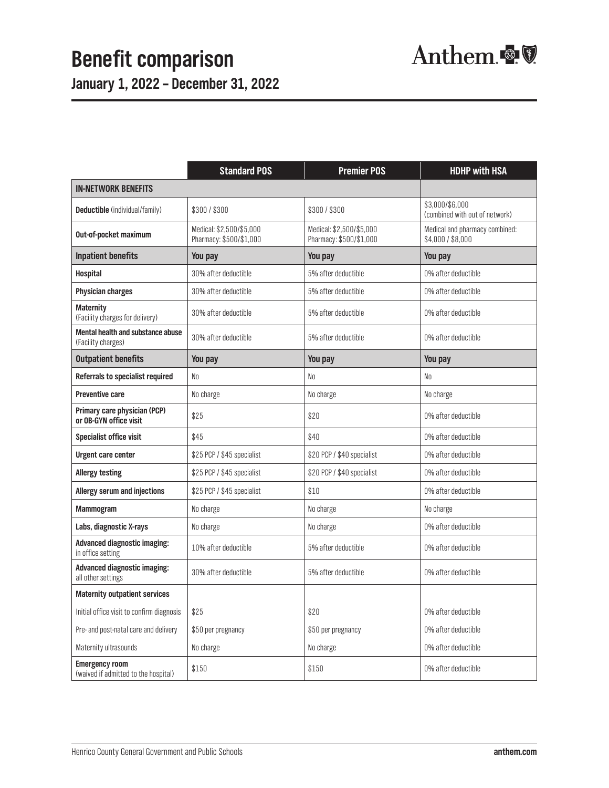**January 1, 2022 – December 31, 2022**

|                                                                | <b>Standard POS</b>                                 | <b>Premier POS</b>                                  | <b>HDHP with HSA</b>                                |  |
|----------------------------------------------------------------|-----------------------------------------------------|-----------------------------------------------------|-----------------------------------------------------|--|
| <b>IN-NETWORK BENEFITS</b>                                     |                                                     |                                                     |                                                     |  |
| <b>Deductible</b> (individual/family)                          | \$300/\$300                                         | \$300/\$300                                         | \$3,000/\$6,000<br>(combined with out of network)   |  |
| Out-of-pocket maximum                                          | Medical: \$2,500/\$5,000<br>Pharmacy: \$500/\$1,000 | Medical: \$2,500/\$5,000<br>Pharmacy: \$500/\$1,000 | Medical and pharmacy combined:<br>\$4,000 / \$8,000 |  |
| <b>Inpatient benefits</b>                                      | You pay                                             | You pay                                             | You pay                                             |  |
| <b>Hospital</b>                                                | 30% after deductible                                | 5% after deductible                                 | 0% after deductible                                 |  |
| <b>Physician charges</b>                                       | 30% after deductible                                | 5% after deductible                                 | 0% after deductible                                 |  |
| <b>Maternity</b><br>(Facility charges for delivery)            | 30% after deductible                                | 5% after deductible                                 | 0% after deductible                                 |  |
| <b>Mental health and substance abuse</b><br>(Facility charges) | 30% after deductible                                | 5% after deductible                                 | 0% after deductible                                 |  |
| <b>Outpatient benefits</b>                                     | You pay                                             | You pay                                             | You pay                                             |  |
| Referrals to specialist required                               | No                                                  | No                                                  | No                                                  |  |
| <b>Preventive care</b>                                         | No charge                                           | No charge                                           | No charge                                           |  |
| Primary care physician (PCP)<br>or OB-GYN office visit         | \$25                                                | \$20                                                | 0% after deductible                                 |  |
| <b>Specialist office visit</b>                                 | \$45                                                | \$40                                                | 0% after deductible                                 |  |
| <b>Urgent care center</b>                                      | \$25 PCP / \$45 specialist                          | \$20 PCP / \$40 specialist                          | 0% after deductible                                 |  |
| <b>Allergy testing</b>                                         | \$25 PCP / \$45 specialist                          | \$20 PCP / \$40 specialist                          | 0% after deductible                                 |  |
| <b>Allergy serum and injections</b>                            | \$25 PCP / \$45 specialist                          | \$10                                                | 0% after deductible                                 |  |
| Mammogram                                                      | No charge                                           | No charge                                           | No charge                                           |  |
| Labs, diagnostic X-rays                                        | No charge                                           | No charge                                           | 0% after deductible                                 |  |
| <b>Advanced diagnostic imaging:</b><br>in office setting       | 10% after deductible                                | 5% after deductible                                 | 0% after deductible                                 |  |
| <b>Advanced diagnostic imaging:</b><br>all other settings      | 30% after deductible                                | 5% after deductible                                 | 0% after deductible                                 |  |
| <b>Maternity outpatient services</b>                           |                                                     |                                                     |                                                     |  |
| Initial office visit to confirm diagnosis                      | \$25                                                | \$20                                                | 0% after deductible                                 |  |
| Pre- and post-natal care and delivery                          | \$50 per pregnancy                                  | \$50 per pregnancy                                  | 0% after deductible                                 |  |
| Maternity ultrasounds                                          | No charge                                           | No charge                                           | 0% after deductible                                 |  |
| <b>Emergency room</b><br>(waived if admitted to the hospital)  | \$150                                               | \$150                                               | 0% after deductible                                 |  |